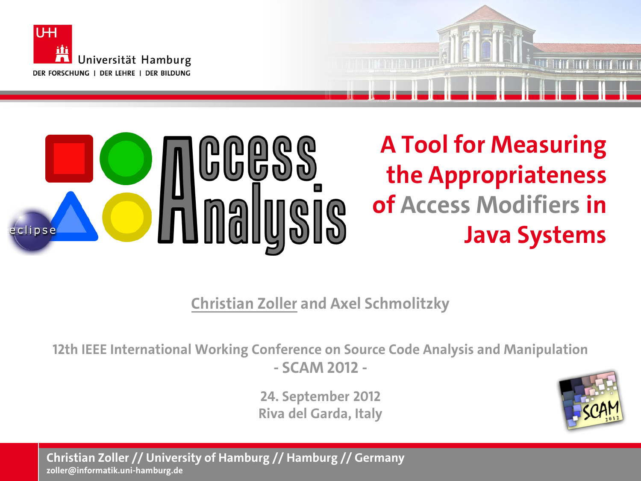

eclipse



**Java Systems**

**Christian Zoller and Axel Schmolitzky**

**12th IEEE International Working Conference on Source Code Analysis and Manipulation - SCAM 2012 -**

> **24. September 2012 Riva del Garda, Italy**



**Christian Zoller // University of Hamburg // Hamburg // Germany zoller@informatik.uni-hamburg.de**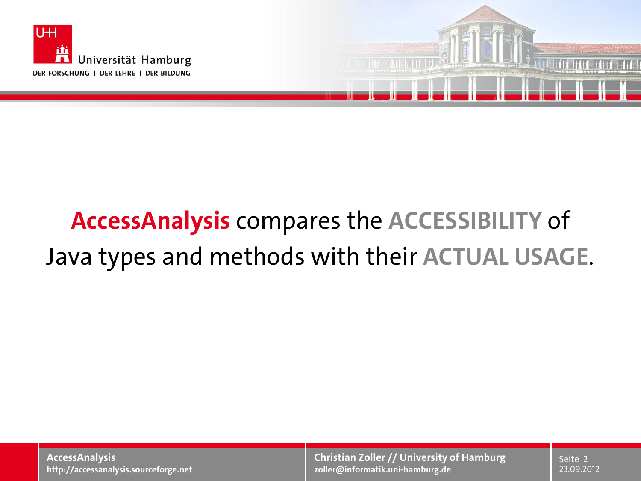

# **AccessAnalysis** compares the **ACCESSIBILITY** of Java types and methods with their **ACTUAL USAGE**.

**AccessAnalysis http://accessanalysis.sourceforge.net**

**Christian Zoller // University of Hamburg zoller@informatik.uni-hamburg.de**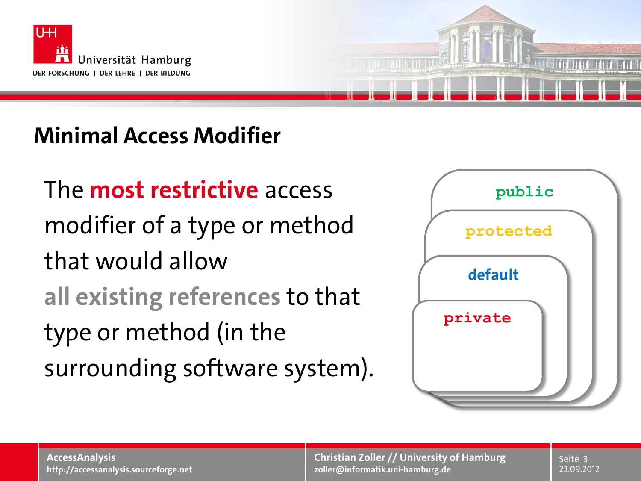

### **Minimal Access Modifier**

The **most restrictive** access modifier of a type or method that would allow **all existing references** to that type or method (in the surrounding software system).



**Christian Zoller // University of Hamburg zoller@informatik.uni-hamburg.de**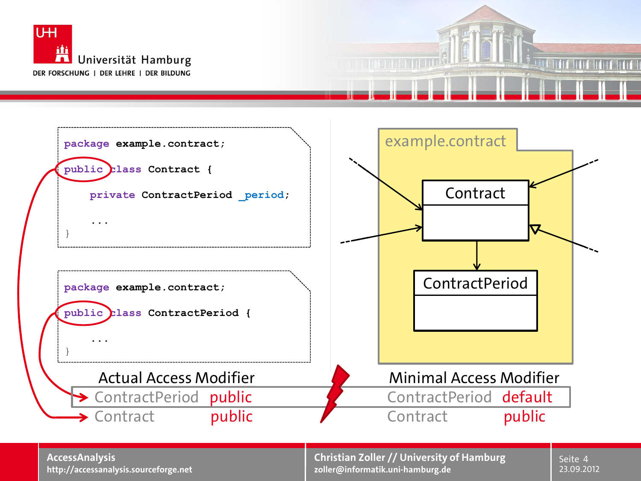



**AccessAnalysis http://accessanalysis.sourceforge.net**

**Christian Zoller // University of Hamburg zoller@informatik.uni-hamburg.de** 23.09.2012

Seite 4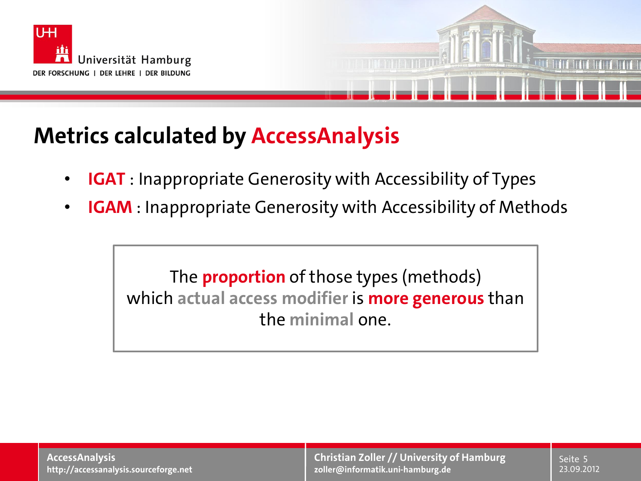



#### **Metrics calculated by AccessAnalysis**

- **IGAT** : Inappropriate Generosity with Accessibility of Types
- **IGAM** : Inappropriate Generosity with Accessibility of Methods

The **proportion** of those types (methods) which **actual access modifier** is **more generous** than the **minimal** one.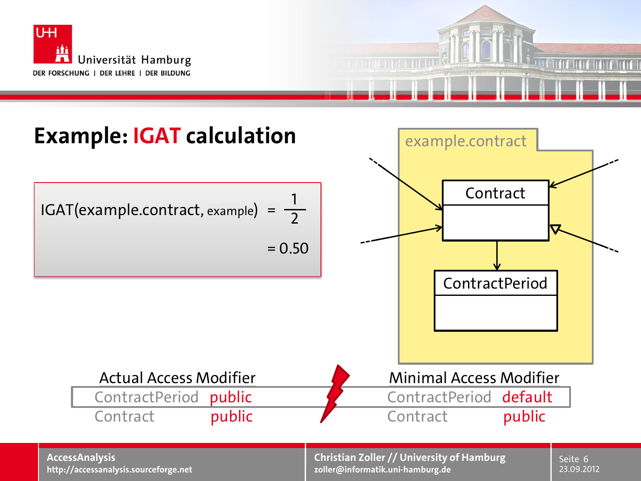



**AccessAnalysis http://accessanalysis.sourceforge.net**

**Christian Zoller // University of Hamburg zoller@informatik.uni-hamburg.de**

23.09.2012 Seite 6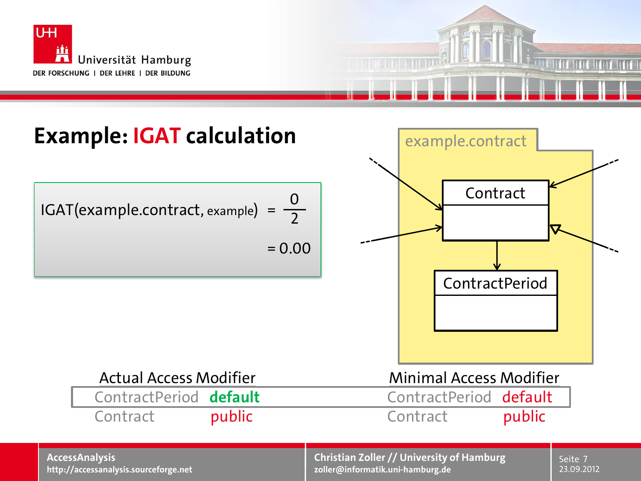



#### **AccessAnalysis http://accessanalysis.sourceforge.net**

**Christian Zoller // University of Hamburg zoller@informatik.uni-hamburg.de**